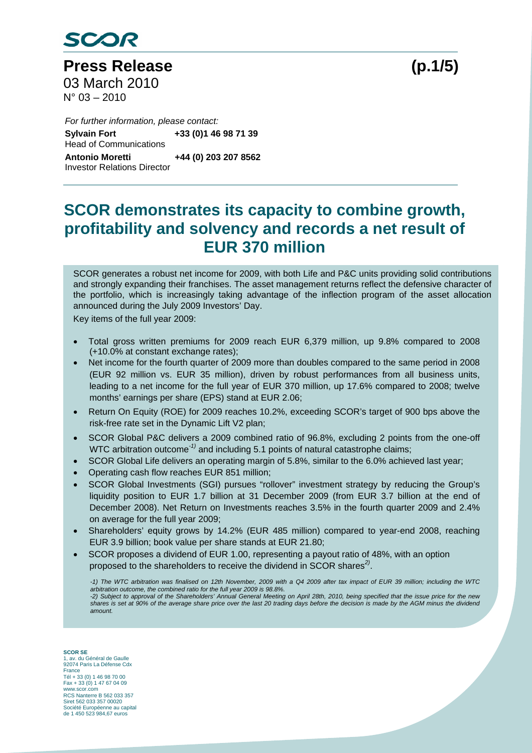

**Press Release (p.1/5)**  03 March 2010 N° 03 – 2010

 *For further information, please contact:*  **Sylvain Fort**  Head of Communications **Sylvain Fort +33 (0)1 46 98 71 39 Antonio Moretti +44 (0) 203 207 8562**  Investor Relations Director

# **SCOR demonstrates its capacity to combine growth, profitability and solvency and records a net result of EUR 370 million**

SCOR generates a robust net income for 2009, with both Life and P&C units providing solid contributions and strongly expanding their franchises. The asset management returns reflect the defensive character of the portfolio, which is increasingly taking advantage of the inflection program of the asset allocation announced during the July 2009 Investors' Day.

Key items of the full year 2009:

- Total gross written premiums for 2009 reach EUR 6,379 million, up 9.8% compared to 2008 (+10.0% at constant exchange rates);
- Net income for the fourth quarter of 2009 more than doubles compared to the same period in 2008 (EUR 92 million vs. EUR 35 million), driven by robust performances from all business units, leading to a net income for the full year of EUR 370 million, up 17.6% compared to 2008; twelve months' earnings per share (EPS) stand at EUR 2.06;
- Return On Equity (ROE) for 2009 reaches 10.2%, exceeding SCOR's target of 900 bps above the risk-free rate set in the Dynamic Lift V2 plan;
- SCOR Global P&C delivers a 2009 combined ratio of 96.8%, excluding 2 points from the one-off WTC arbitration outcome*-1)* and including 5.1 points of natural catastrophe claims;
- SCOR Global Life delivers an operating margin of 5.8%, similar to the 6.0% achieved last year;
- Operating cash flow reaches EUR 851 million;
- SCOR Global Investments (SGI) pursues "rollover" investment strategy by reducing the Group's liquidity position to EUR 1.7 billion at 31 December 2009 (from EUR 3.7 billion at the end of December 2008). Net Return on Investments reaches 3.5% in the fourth quarter 2009 and 2.4% on average for the full year 2009;
- Shareholders' equity grows by 14.2% (EUR 485 million) compared to year-end 2008, reaching EUR 3.9 billion; book value per share stands at EUR 21.80;
- SCOR proposes a dividend of EUR 1.00, representing a payout ratio of 48%, with an option proposed to the shareholders to receive the dividend in SCOR shares*2)*.

*-1) The WTC arbitration was finalised on 12th November, 2009 with a Q4 2009 after tax impact of EUR 39 million; including the WTC arbitration outcome, the combined ratio for the full year 2009 is 98.8%. -2) Subject to approval of the Shareholders' Annual General Meeting on April 28th, 2010, being specified that the issue price for the new shares is set at 90% of the average share price over the last 20 trading days before the decision is made by the AGM minus the dividend* 

**SCOR SE**  1, av. du Général de Gaulle 92074 Paris La Défense Cdx France Tél + 33 (0) 1 46 98 70 00 Fax + 33 (0) 1 47 67 04 09 www.scor.com RCS Nanterre B 562 033 357 Siret 562 033 357 00020 Société Européenne au capital de 1 450 523 984,67 euros

*amount.*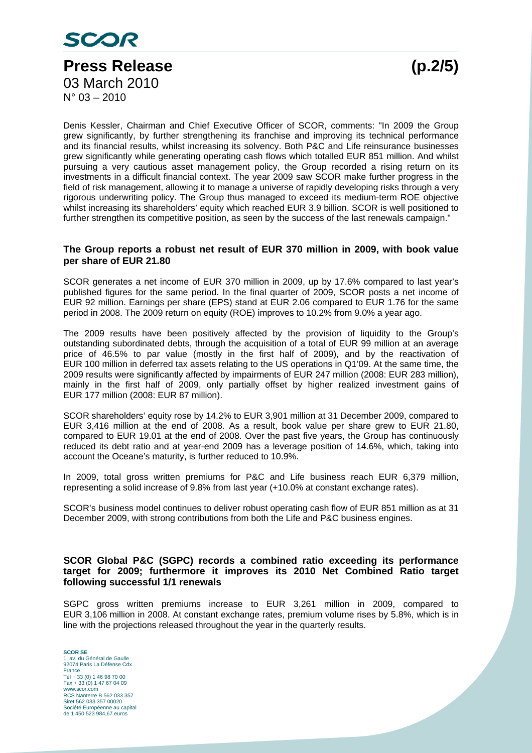

Denis Kessler, Chairman and Chief Executive Officer of SCOR, comments: "In 2009 the Group grew significantly, by further strengthening its franchise and improving its technical performance and its financial results, whilst increasing its solvency. Both P&C and Life reinsurance businesses grew significantly while generating operating cash flows which totalled EUR 851 million. And whilst pursuing a very cautious asset management policy, the Group recorded a rising return on its investments in a difficult financial context. The year 2009 saw SCOR make further progress in the field of risk management, allowing it to manage a universe of rapidly developing risks through a very rigorous underwriting policy. The Group thus managed to exceed its medium-term ROE objective whilst increasing its shareholders' equity which reached EUR 3.9 billion. SCOR is well positioned to further strengthen its competitive position, as seen by the success of the last renewals campaign."

#### **The Group reports a robust net result of EUR 370 million in 2009, with book value per share of EUR 21.80**

SCOR generates a net income of EUR 370 million in 2009, up by 17.6% compared to last year's published figures for the same period. In the final quarter of 2009, SCOR posts a net income of EUR 92 million. Earnings per share (EPS) stand at EUR 2.06 compared to EUR 1.76 for the same period in 2008. The 2009 return on equity (ROE) improves to 10.2% from 9.0% a year ago.

The 2009 results have been positively affected by the provision of liquidity to the Group's outstanding subordinated debts, through the acquisition of a total of EUR 99 million at an average price of 46.5% to par value (mostly in the first half of 2009), and by the reactivation of EUR 100 million in deferred tax assets relating to the US operations in Q1'09. At the same time, the 2009 results were significantly affected by impairments of EUR 247 million (2008: EUR 283 million), mainly in the first half of 2009, only partially offset by higher realized investment gains of EUR 177 million (2008: EUR 87 million).

SCOR shareholders' equity rose by 14.2% to EUR 3,901 million at 31 December 2009, compared to EUR 3,416 million at the end of 2008. As a result, book value per share grew to EUR 21.80, compared to EUR 19.01 at the end of 2008. Over the past five years, the Group has continuously reduced its debt ratio and at year-end 2009 has a leverage position of 14.6%, which, taking into account the Oceane's maturity, is further reduced to 10.9%.

In 2009, total gross written premiums for P&C and Life business reach EUR 6,379 million, representing a solid increase of 9.8% from last year (+10.0% at constant exchange rates).

SCOR's business model continues to deliver robust operating cash flow of EUR 851 million as at 31 December 2009, with strong contributions from both the Life and P&C business engines.

#### **SCOR Global P&C (SGPC) records a combined ratio exceeding its performance target for 2009; furthermore it improves its 2010 Net Combined Ratio target following successful 1/1 renewals**

SGPC gross written premiums increase to EUR 3,261 million in 2009, compared to EUR 3,106 million in 2008. At constant exchange rates, premium volume rises by 5.8%, which is in line with the projections released throughout the year in the quarterly results.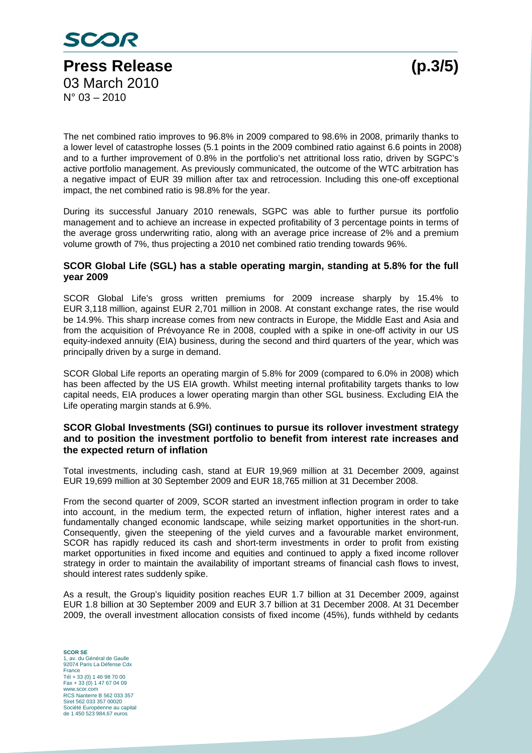

The net combined ratio improves to 96.8% in 2009 compared to 98.6% in 2008, primarily thanks to a lower level of catastrophe losses (5.1 points in the 2009 combined ratio against 6.6 points in 2008) and to a further improvement of 0.8% in the portfolio's net attritional loss ratio, driven by SGPC's active portfolio management. As previously communicated, the outcome of the WTC arbitration has a negative impact of EUR 39 million after tax and retrocession. Including this one-off exceptional impact, the net combined ratio is 98.8% for the year.

During its successful January 2010 renewals, SGPC was able to further pursue its portfolio management and to achieve an increase in expected profitability of 3 percentage points in terms of the average gross underwriting ratio, along with an average price increase of 2% and a premium volume growth of 7%, thus projecting a 2010 net combined ratio trending towards 96%.

## **SCOR Global Life (SGL) has a stable operating margin, standing at 5.8% for the full year 2009**

SCOR Global Life's gross written premiums for 2009 increase sharply by 15.4% to EUR 3,118 million, against EUR 2,701 million in 2008. At constant exchange rates, the rise would be 14.9%. This sharp increase comes from new contracts in Europe, the Middle East and Asia and from the acquisition of Prévoyance Re in 2008, coupled with a spike in one-off activity in our US equity-indexed annuity (EIA) business, during the second and third quarters of the year, which was principally driven by a surge in demand.

SCOR Global Life reports an operating margin of 5.8% for 2009 (compared to 6.0% in 2008) which has been affected by the US EIA growth. Whilst meeting internal profitability targets thanks to low capital needs, EIA produces a lower operating margin than other SGL business. Excluding EIA the Life operating margin stands at 6.9%.

## **SCOR Global Investments (SGI) continues to pursue its rollover investment strategy and to position the investment portfolio to benefit from interest rate increases and the expected return of inflation**

Total investments, including cash, stand at EUR 19,969 million at 31 December 2009, against EUR 19,699 million at 30 September 2009 and EUR 18,765 million at 31 December 2008.

From the second quarter of 2009, SCOR started an investment inflection program in order to take into account, in the medium term, the expected return of inflation, higher interest rates and a fundamentally changed economic landscape, while seizing market opportunities in the short-run. Consequently, given the steepening of the yield curves and a favourable market environment, SCOR has rapidly reduced its cash and short-term investments in order to profit from existing market opportunities in fixed income and equities and continued to apply a fixed income rollover strategy in order to maintain the availability of important streams of financial cash flows to invest, should interest rates suddenly spike.

As a result, the Group's liquidity position reaches EUR 1.7 billion at 31 December 2009, against EUR 1.8 billion at 30 September 2009 and EUR 3.7 billion at 31 December 2008. At 31 December 2009, the overall investment allocation consists of fixed income (45%), funds withheld by cedants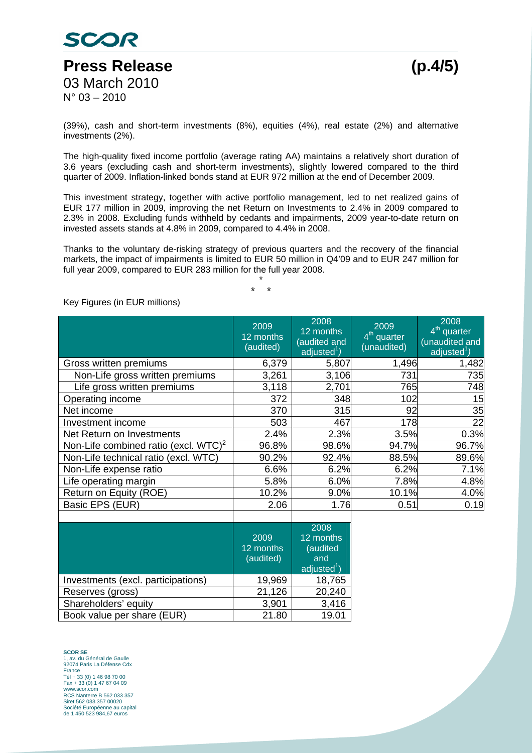

(39%), cash and short-term investments (8%), equities (4%), real estate (2%) and alternative investments (2%).

The high-quality fixed income portfolio (average rating AA) maintains a relatively short duration of 3.6 years (excluding cash and short-term investments), slightly lowered compared to the third quarter of 2009. Inflation-linked bonds stand at EUR 972 million at the end of December 2009.

This investment strategy, together with active portfolio management, led to net realized gains of EUR 177 million in 2009, improving the net Return on Investments to 2.4% in 2009 compared to 2.3% in 2008. Excluding funds withheld by cedants and impairments, 2009 year-to-date return on invested assets stands at 4.8% in 2009, compared to 4.4% in 2008.

Thanks to the voluntary de-risking strategy of previous quarters and the recovery of the financial markets, the impact of impairments is limited to EUR 50 million in Q4'09 and to EUR 247 million for full year 2009, compared to EUR 283 million for the full year 2008.

> \* \* \*

#### 2009 12 months (audited) 2008 12 months (audited and adjusted<sup>1</sup>) 2009 4<sup>th</sup> quarter (unaudited) 2008 4<sup>th</sup> quarter (unaudited and adjusted<sup>1</sup>) Gross written premiums  $\begin{array}{ccc} \vert & 6,379 \vert & 5,807 \vert & 1,496 \end{array}$  1,482 Non-Life gross written premiums  $\begin{array}{ccc} | & 3,261 & 3,106 \\ \end{array}$  731 735 Life gross written premiums 3,118 2,701 765 748 Operating income 1 372 348 102 15 Net income 25 Investment income 503 467 178 22 Net Return on Investments  $2.4\%$  |  $2.3\%$   $3.5\%$  0.3% Non-Life combined ratio (excl.  $WTC$ )<sup>2</sup>  $96.8\%$  98.6% 94.7% 96.7% Non-Life technical ratio (excl. WTC)  $\vert$  90.2% 92.4% 88.5% 89.6% Non-Life expense ratio  $\vert$  6.6% 6.2% 6.2% 6.2% 6.2% 7.1% Life operating margin  $\vert$  5.8%  $\vert$  6.0% 7.8% 4.8% Return on Equity (ROE)  $\vert$  10.2% | 9.0% 10.1% 4.0% Basic EPS (EUR)  $\begin{array}{|c|c|c|c|c|c|c|c|c|} \hline \end{array}$  2.06 1.76 0.51 0.19 2009 12 months (audited) 2008 12 months (audited and adjusted $1$ )

Key Figures (in EUR millions)

|                                    | 2009<br>12 months<br>(audited) | 2008<br>12 months<br>(audited<br>and<br>adjusted $1$ ) |
|------------------------------------|--------------------------------|--------------------------------------------------------|
| Investments (excl. participations) | 19,969                         | 18,765                                                 |
| Reserves (gross)                   | 21,126                         | 20,240                                                 |
| Shareholders' equity               | 3,901                          | 3,416                                                  |
| Book value per share (EUR)         | 21.80                          | 19.01                                                  |
|                                    |                                |                                                        |